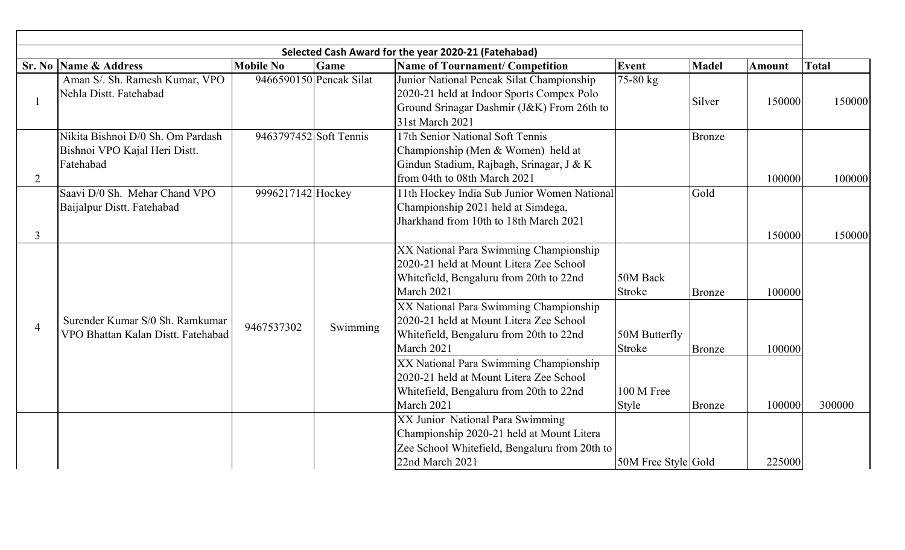| Selected Cash Award for the year 2020-21 (Fatehabad) |                                                                                 |                         |          |                                                                                                                                                                                                                                                                                                                                                                                                                                        |                                                                                    |                                                 |                            |              |
|------------------------------------------------------|---------------------------------------------------------------------------------|-------------------------|----------|----------------------------------------------------------------------------------------------------------------------------------------------------------------------------------------------------------------------------------------------------------------------------------------------------------------------------------------------------------------------------------------------------------------------------------------|------------------------------------------------------------------------------------|-------------------------------------------------|----------------------------|--------------|
|                                                      | <b>Sr. No Name &amp; Address</b>                                                | <b>Mobile No</b>        | Game     | <b>Name of Tournament/ Competition</b>                                                                                                                                                                                                                                                                                                                                                                                                 | Event                                                                              | <b>Madel</b>                                    | Amount                     | <b>Total</b> |
|                                                      | Aman S/. Sh. Ramesh Kumar, VPO<br>Nehla Distt. Fatehabad                        | 9466590150 Pencak Silat |          | Junior National Pencak Silat Championship<br>2020-21 held at Indoor Sports Compex Polo<br>Ground Srinagar Dashmir (J&K) From 26th to<br>31st March 2021                                                                                                                                                                                                                                                                                | 75-80 kg                                                                           | Silver                                          | 150000                     | 150000       |
| 2                                                    | Nikita Bishnoi D/0 Sh. Om Pardash<br>Bishnoi VPO Kajal Heri Distt.<br>Fatehabad | 9463797452 Soft Tennis  |          | 17th Senior National Soft Tennis<br>Championship (Men & Women) held at<br>Gindun Stadium, Rajbagh, Srinagar, J & K<br>from 04th to 08th March 2021                                                                                                                                                                                                                                                                                     |                                                                                    | <b>Bronze</b>                                   | 100000                     | 100000       |
| $\mathfrak{Z}$                                       | Saavi D/0 Sh. Mehar Chand VPO<br>Baijalpur Distt. Fatehabad                     | 9996217142 Hockey       |          | 11th Hockey India Sub Junior Women National<br>Championship 2021 held at Simdega,<br>Jharkhand from 10th to 18th March 2021                                                                                                                                                                                                                                                                                                            |                                                                                    | Gold                                            | 150000                     | 150000       |
| $\overline{4}$                                       | Surender Kumar S/0 Sh. Ramkumar<br>VPO Bhattan Kalan Distt. Fatehabad           | 9467537302              | Swimming | XX National Para Swimming Championship<br>2020-21 held at Mount Litera Zee School<br>Whitefield, Bengaluru from 20th to 22nd<br>March 2021<br>XX National Para Swimming Championship<br>2020-21 held at Mount Litera Zee School<br>Whitefield, Bengaluru from 20th to 22nd<br>March 2021<br>XX National Para Swimming Championship<br>2020-21 held at Mount Litera Zee School<br>Whitefield, Bengaluru from 20th to 22nd<br>March 2021 | 50M Back<br><b>Stroke</b><br>50M Butterfly<br><b>Stroke</b><br>100 M Free<br>Style | <b>Bronze</b><br><b>Bronze</b><br><b>Bronze</b> | 100000<br>100000<br>100000 | 300000       |
|                                                      |                                                                                 |                         |          | XX Junior National Para Swimming<br>Championship 2020-21 held at Mount Litera<br>Zee School Whitefield, Bengaluru from 20th to<br>22nd March 2021                                                                                                                                                                                                                                                                                      | 50M Free Style Gold                                                                |                                                 | 225000                     |              |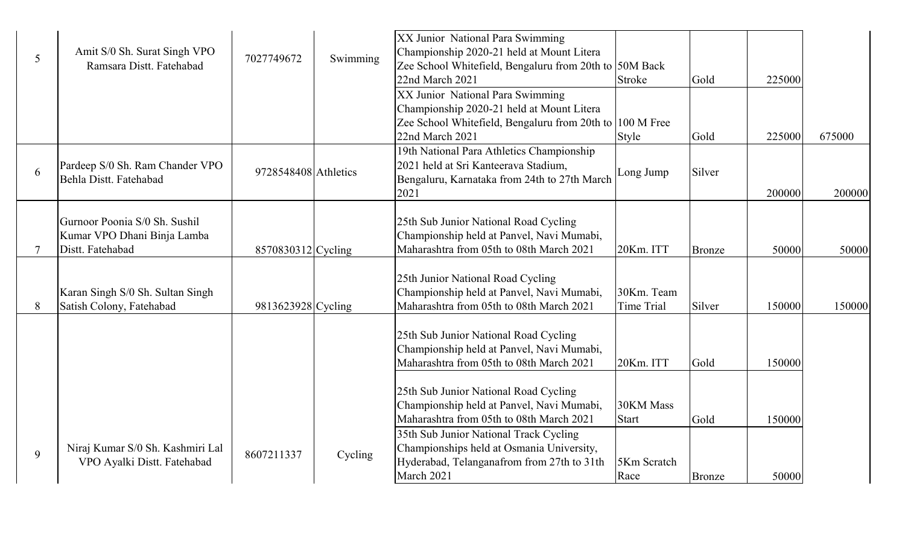|   | Amit S/0 Sh. Surat Singh VPO     |                      |          | XX Junior National Para Swimming<br>Championship 2020-21 held at Mount Litera         |                   |               |        |        |
|---|----------------------------------|----------------------|----------|---------------------------------------------------------------------------------------|-------------------|---------------|--------|--------|
| 5 | Ramsara Distt. Fatehabad         | 7027749672           | Swimming | Zee School Whitefield, Bengaluru from 20th to 50M Back                                |                   |               |        |        |
|   |                                  |                      |          | 22nd March 2021                                                                       | <b>Stroke</b>     | Gold          | 225000 |        |
|   |                                  |                      |          | XX Junior National Para Swimming                                                      |                   |               |        |        |
|   |                                  |                      |          | Championship 2020-21 held at Mount Litera                                             |                   |               |        |        |
|   |                                  |                      |          | Zee School Whitefield, Bengaluru from 20th to                                         | 100 M Free        |               |        |        |
|   |                                  |                      |          | 22nd March 2021                                                                       | Style             | Gold          | 225000 | 675000 |
|   |                                  |                      |          | 19th National Para Athletics Championship                                             |                   |               |        |        |
| 6 | Pardeep S/0 Sh. Ram Chander VPO  | 9728548408 Athletics |          | 2021 held at Sri Kanteerava Stadium,                                                  | Long Jump         | Silver        |        |        |
|   | Behla Distt. Fatehabad           |                      |          | Bengaluru, Karnataka from 24th to 27th March                                          |                   |               |        |        |
|   |                                  |                      |          | 2021                                                                                  |                   |               | 200000 | 200000 |
|   |                                  |                      |          |                                                                                       |                   |               |        |        |
|   | Gurnoor Poonia S/0 Sh. Sushil    |                      |          | 25th Sub Junior National Road Cycling                                                 |                   |               |        |        |
|   | Kumar VPO Dhani Binja Lamba      |                      |          | Championship held at Panvel, Navi Mumabi,<br>Maharashtra from 05th to 08th March 2021 |                   |               |        |        |
|   | Distt. Fatehabad                 | 8570830312 Cycling   |          |                                                                                       | 20Km. ITT         | <b>Bronze</b> | 50000  | 50000  |
|   |                                  |                      |          | 25th Junior National Road Cycling                                                     |                   |               |        |        |
|   | Karan Singh S/0 Sh. Sultan Singh |                      |          | Championship held at Panvel, Navi Mumabi,                                             | 30Km. Team        |               |        |        |
| 8 | Satish Colony, Fatehabad         | 9813623928 Cycling   |          | Maharashtra from 05th to 08th March 2021                                              | <b>Time Trial</b> | Silver        | 150000 | 150000 |
|   |                                  |                      |          |                                                                                       |                   |               |        |        |
|   |                                  |                      |          | 25th Sub Junior National Road Cycling                                                 |                   |               |        |        |
|   |                                  |                      |          | Championship held at Panvel, Navi Mumabi,<br>Maharashtra from 05th to 08th March 2021 | 20Km. ITT         | Gold          | 150000 |        |
|   |                                  |                      |          |                                                                                       |                   |               |        |        |
|   |                                  |                      |          | 25th Sub Junior National Road Cycling                                                 |                   |               |        |        |
|   |                                  |                      |          | Championship held at Panvel, Navi Mumabi,                                             | 30KM Mass         |               |        |        |
|   |                                  |                      |          | Maharashtra from 05th to 08th March 2021                                              | <b>Start</b>      | Gold          | 150000 |        |
|   |                                  |                      |          | 35th Sub Junior National Track Cycling                                                |                   |               |        |        |
| 9 | Niraj Kumar S/0 Sh. Kashmiri Lal | 8607211337           | Cycling  | Championships held at Osmania University,                                             |                   |               |        |        |
|   | VPO Ayalki Distt. Fatehabad      |                      |          | Hyderabad, Telanganafrom from 27th to 31th                                            | 5Km Scratch       |               |        |        |
|   |                                  |                      |          | March 2021                                                                            | Race              | <b>Bronze</b> | 50000  |        |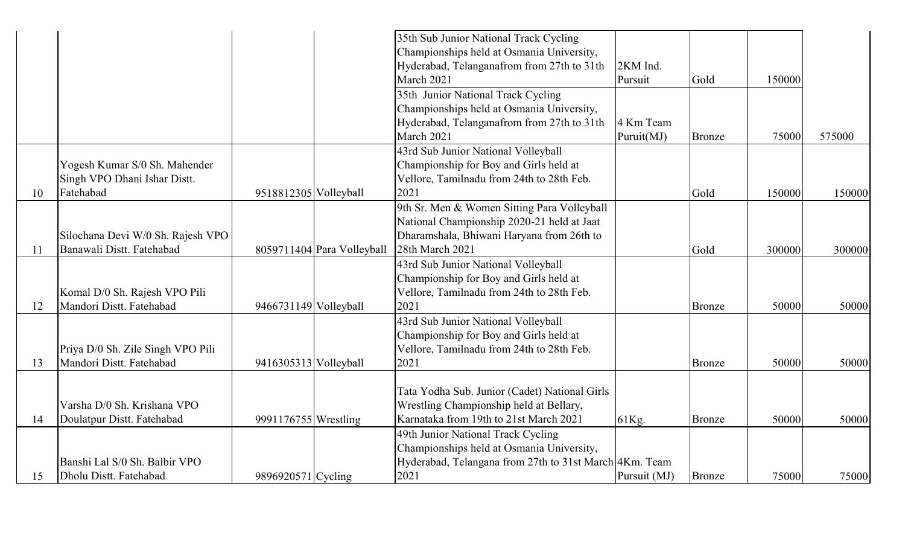|    |                                   |                       |                            | 35th Sub Junior National Track Cycling                 |              |               |        |        |
|----|-----------------------------------|-----------------------|----------------------------|--------------------------------------------------------|--------------|---------------|--------|--------|
|    |                                   |                       |                            | Championships held at Osmania University,              |              |               |        |        |
|    |                                   |                       |                            | Hyderabad, Telanganafrom from 27th to 31th             | 2KM Ind.     |               |        |        |
|    |                                   |                       |                            | March 2021                                             | Pursuit      | Gold          | 150000 |        |
|    |                                   |                       |                            | 35th Junior National Track Cycling                     |              |               |        |        |
|    |                                   |                       |                            | Championships held at Osmania University,              |              |               |        |        |
|    |                                   |                       |                            | Hyderabad, Telanganafrom from 27th to 31th             | 4 Km Team    |               |        |        |
|    |                                   |                       |                            | March 2021                                             | Puruit(MJ)   | <b>Bronze</b> | 75000  | 575000 |
|    |                                   |                       |                            | 43rd Sub Junior National Volleyball                    |              |               |        |        |
|    | Yogesh Kumar S/0 Sh. Mahender     |                       |                            | Championship for Boy and Girls held at                 |              |               |        |        |
|    | Singh VPO Dhani Ishar Distt.      |                       |                            | Vellore, Tamilnadu from 24th to 28th Feb.              |              |               |        |        |
| 10 | Fatehabad                         | 9518812305 Volleyball |                            | 2021                                                   |              | Gold          | 150000 | 150000 |
|    |                                   |                       |                            | 9th Sr. Men & Women Sitting Para Volleyball            |              |               |        |        |
|    |                                   |                       |                            | National Championship 2020-21 held at Jaat             |              |               |        |        |
|    | Silochana Devi W/0 Sh. Rajesh VPO |                       |                            | Dharamshala, Bhiwani Haryana from 26th to              |              |               |        |        |
| 11 | Banawali Distt. Fatehabad         |                       | 8059711404 Para Volleyball | 28th March 2021                                        |              | Gold          | 300000 | 300000 |
|    |                                   |                       |                            | 43rd Sub Junior National Volleyball                    |              |               |        |        |
|    |                                   |                       |                            | Championship for Boy and Girls held at                 |              |               |        |        |
|    | Komal D/0 Sh. Rajesh VPO Pili     |                       |                            | Vellore, Tamilnadu from 24th to 28th Feb.              |              |               |        |        |
| 12 | Mandori Distt. Fatehabad          | 9466731149 Volleyball |                            | 2021                                                   |              | <b>Bronze</b> | 50000  | 50000  |
|    |                                   |                       |                            | 43rd Sub Junior National Volleyball                    |              |               |        |        |
|    |                                   |                       |                            | Championship for Boy and Girls held at                 |              |               |        |        |
|    | Priya D/0 Sh. Zile Singh VPO Pili |                       |                            | Vellore, Tamilnadu from 24th to 28th Feb.              |              |               |        |        |
| 13 | Mandori Distt. Fatehabad          | 9416305313 Volleyball |                            | 2021                                                   |              | <b>Bronze</b> | 50000  | 50000  |
|    |                                   |                       |                            |                                                        |              |               |        |        |
|    |                                   |                       |                            | Tata Yodha Sub. Junior (Cadet) National Girls          |              |               |        |        |
|    | Varsha D/0 Sh. Krishana VPO       |                       |                            | Wrestling Championship held at Bellary,                |              |               |        |        |
| 14 | Doulatpur Distt. Fatehabad        | 9991176755 Wrestling  |                            | Karnataka from 19th to 21st March 2021                 | 61Kg.        | <b>Bronze</b> | 50000  | 50000  |
|    |                                   |                       |                            | 49th Junior National Track Cycling                     |              |               |        |        |
|    |                                   |                       |                            | Championships held at Osmania University,              |              |               |        |        |
|    | Banshi Lal S/0 Sh. Balbir VPO     |                       |                            | Hyderabad, Telangana from 27th to 31st March 4Km. Team |              |               |        |        |
| 15 | Dholu Distt. Fatehabad            | 9896920571 Cycling    |                            | 2021                                                   | Pursuit (MJ) | <b>Bronze</b> | 75000  | 75000  |